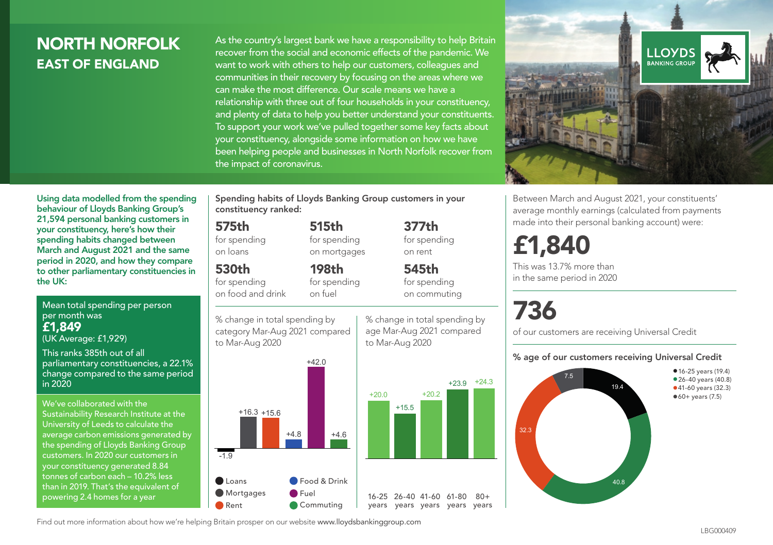# NORTH NORFOLK EAST OF ENGLAND

As the country's largest bank we have a responsibility to help Britain recover from the social and economic effects of the pandemic. We want to work with others to help our customers, colleagues and communities in their recovery by focusing on the areas where we can make the most difference. Our scale means we have a relationship with three out of four households in your constituency, and plenty of data to help you better understand your constituents. To support your work we've pulled together some key facts about your constituency, alongside some information on how we have been helping people and businesses in North Norfolk recover from the impact of coronavirus.



Using data modelled from the spending behaviour of Lloyds Banking Group's 21,594 personal banking customers in your constituency, here's how their spending habits changed between March and August 2021 and the same period in 2020, and how they compare to other parliamentary constituencies in the UK:

Mean total spending per person per month was £1,849 (UK Average: £1,929)

This ranks 385th out of all parliamentary constituencies, a 22.1% change compared to the same period in 2020

We've collaborated with the Sustainability Research Institute at the University of Leeds to calculate the average carbon emissions generated by the spending of Lloyds Banking Group customers. In 2020 our customers in your constituency generated 8.84 tonnes of carbon each – 10.2% less than in 2019. That's the equivalent of powering 2.4 homes for a year

Spending habits of Lloyds Banking Group customers in your constituency ranked:

> 515th for spending on mortgages

198th for spending

#### 575th

for spending on loans

#### 530th

for spending on food and drink

% change in total spending by on fuel



% change in total spending by age Mar-Aug 2021 compared to Mar-Aug 2020

377th

on rent

545th for spending on commuting



average monthly earnings (calculated from payments made into their personal banking account) were: for spending

# £1,840

This was 13.7% more than in the same period in 2020

# 736

of our customers are receiving Universal Credit

#### % age of our customers receiving Universal Credit

Between March and August 2021, your constituents'



Find out more information about how we're helping Britain prosper on our website www.lloydsbankinggroup.com